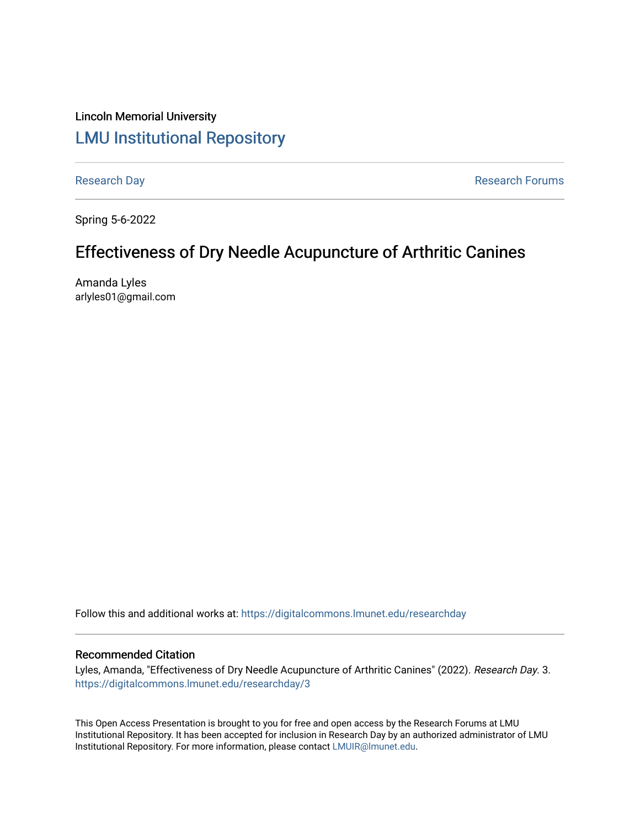# Lincoln Memorial University [LMU Institutional Repository](https://digitalcommons.lmunet.edu/)

[Research Day](https://digitalcommons.lmunet.edu/researchday) **Research Day** Research Forums

Spring 5-6-2022

# Effectiveness of Dry Needle Acupuncture of Arthritic Canines

Amanda Lyles arlyles01@gmail.com

Follow this and additional works at: [https://digitalcommons.lmunet.edu/researchday](https://digitalcommons.lmunet.edu/researchday?utm_source=digitalcommons.lmunet.edu%2Fresearchday%2F3&utm_medium=PDF&utm_campaign=PDFCoverPages)

### Recommended Citation

Lyles, Amanda, "Effectiveness of Dry Needle Acupuncture of Arthritic Canines" (2022). Research Day. 3. [https://digitalcommons.lmunet.edu/researchday/3](https://digitalcommons.lmunet.edu/researchday/3?utm_source=digitalcommons.lmunet.edu%2Fresearchday%2F3&utm_medium=PDF&utm_campaign=PDFCoverPages)

This Open Access Presentation is brought to you for free and open access by the Research Forums at LMU Institutional Repository. It has been accepted for inclusion in Research Day by an authorized administrator of LMU Institutional Repository. For more information, please contact [LMUIR@lmunet.edu.](mailto:LMUIR@lmunet.edu)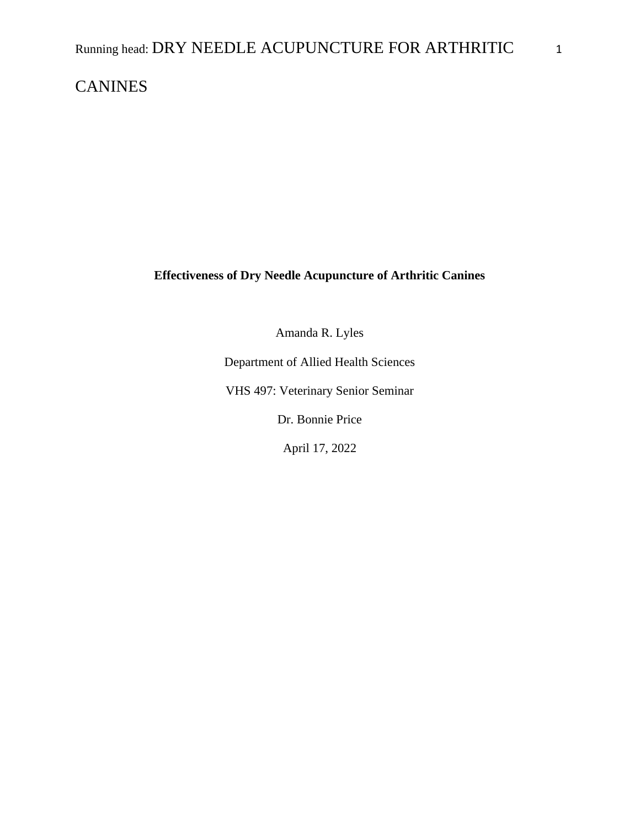## **CANINES**

**Effectiveness of Dry Needle Acupuncture of Arthritic Canines**

Amanda R. Lyles

Department of Allied Health Sciences

VHS 497: Veterinary Senior Seminar

Dr. Bonnie Price

April 17, 2022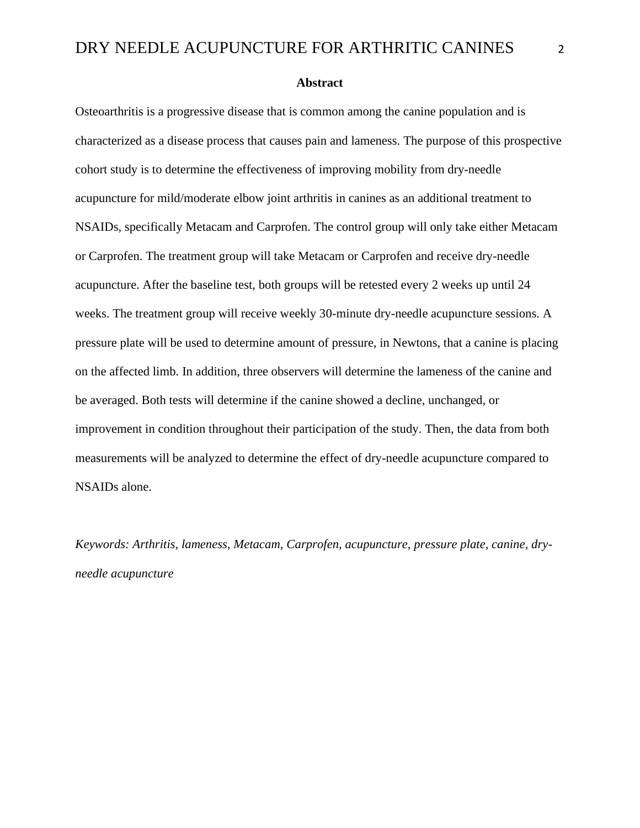**Abstract**

Osteoarthritis is a progressive disease that is common among the canine population and is characterized as a disease process that causes pain and lameness. The purpose of this prospective cohort study is to determine the effectiveness of improving mobility from dry-needle acupuncture for mild/moderate elbow joint arthritis in canines as an additional treatment to NSAIDs, specifically Metacam and Carprofen. The control group will only take either Metacam or Carprofen. The treatment group will take Metacam or Carprofen and receive dry-needle acupuncture. After the baseline test, both groups will be retested every 2 weeks up until 24 weeks. The treatment group will receive weekly 30-minute dry-needle acupuncture sessions. A pressure plate will be used to determine amount of pressure, in Newtons, that a canine is placing on the affected limb. In addition, three observers will determine the lameness of the canine and be averaged. Both tests will determine if the canine showed a decline, unchanged, or improvement in condition throughout their participation of the study. Then, the data from both measurements will be analyzed to determine the effect of dry-needle acupuncture compared to NSAIDs alone.

*Keywords: Arthritis, lameness, Metacam, Carprofen, acupuncture, pressure plate, canine, dryneedle acupuncture*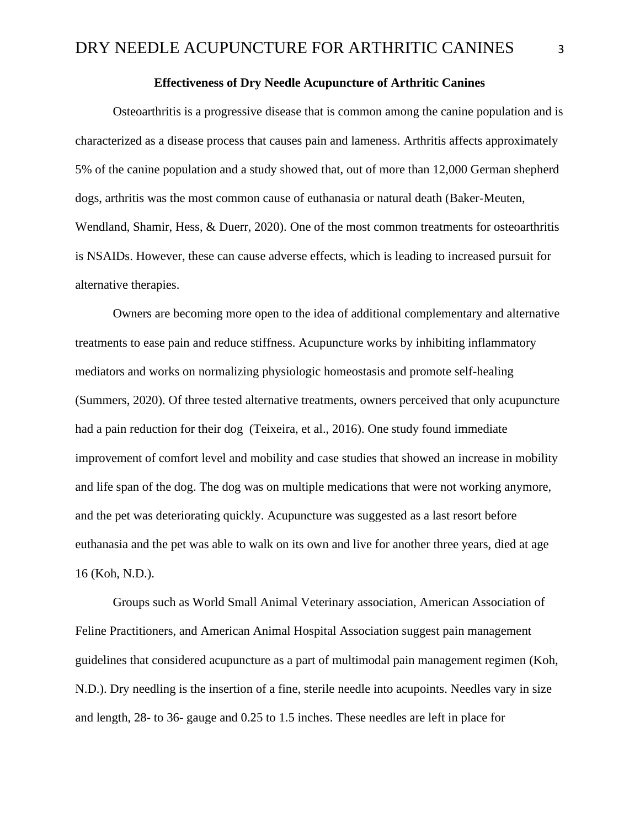### **Effectiveness of Dry Needle Acupuncture of Arthritic Canines**

Osteoarthritis is a progressive disease that is common among the canine population and is characterized as a disease process that causes pain and lameness. Arthritis affects approximately 5% of the canine population and a study showed that, out of more than 12,000 German shepherd dogs, arthritis was the most common cause of euthanasia or natural death (Baker-Meuten, Wendland, Shamir, Hess, & Duerr, 2020). One of the most common treatments for osteoarthritis is NSAIDs. However, these can cause adverse effects, which is leading to increased pursuit for alternative therapies.

Owners are becoming more open to the idea of additional complementary and alternative treatments to ease pain and reduce stiffness. Acupuncture works by inhibiting inflammatory mediators and works on normalizing physiologic homeostasis and promote self-healing (Summers, 2020). Of three tested alternative treatments, owners perceived that only acupuncture had a pain reduction for their dog (Teixeira, et al., 2016). One study found immediate improvement of comfort level and mobility and case studies that showed an increase in mobility and life span of the dog. The dog was on multiple medications that were not working anymore, and the pet was deteriorating quickly. Acupuncture was suggested as a last resort before euthanasia and the pet was able to walk on its own and live for another three years, died at age 16 (Koh, N.D.).

Groups such as World Small Animal Veterinary association, American Association of Feline Practitioners, and American Animal Hospital Association suggest pain management guidelines that considered acupuncture as a part of multimodal pain management regimen (Koh, N.D.). Dry needling is the insertion of a fine, sterile needle into acupoints. Needles vary in size and length, 28- to 36- gauge and 0.25 to 1.5 inches. These needles are left in place for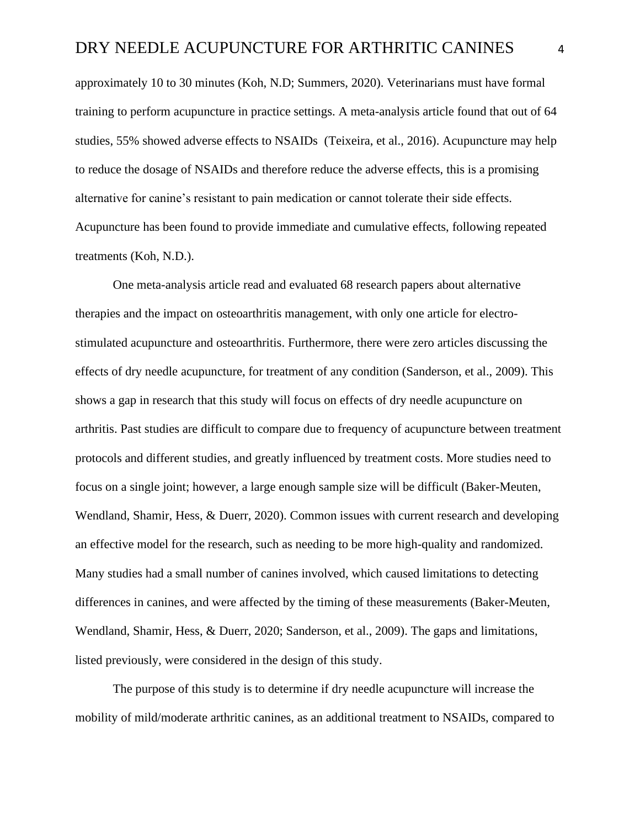approximately 10 to 30 minutes (Koh, N.D; Summers, 2020). Veterinarians must have formal training to perform acupuncture in practice settings. A meta-analysis article found that out of 64 studies, 55% showed adverse effects to NSAIDs (Teixeira, et al., 2016). Acupuncture may help to reduce the dosage of NSAIDs and therefore reduce the adverse effects, this is a promising alternative for canine's resistant to pain medication or cannot tolerate their side effects. Acupuncture has been found to provide immediate and cumulative effects, following repeated treatments (Koh, N.D.).

One meta-analysis article read and evaluated 68 research papers about alternative therapies and the impact on osteoarthritis management, with only one article for electrostimulated acupuncture and osteoarthritis. Furthermore, there were zero articles discussing the effects of dry needle acupuncture, for treatment of any condition (Sanderson, et al., 2009). This shows a gap in research that this study will focus on effects of dry needle acupuncture on arthritis. Past studies are difficult to compare due to frequency of acupuncture between treatment protocols and different studies, and greatly influenced by treatment costs. More studies need to focus on a single joint; however, a large enough sample size will be difficult (Baker-Meuten, Wendland, Shamir, Hess, & Duerr, 2020). Common issues with current research and developing an effective model for the research, such as needing to be more high-quality and randomized. Many studies had a small number of canines involved, which caused limitations to detecting differences in canines, and were affected by the timing of these measurements (Baker-Meuten, Wendland, Shamir, Hess, & Duerr, 2020; Sanderson, et al., 2009). The gaps and limitations, listed previously, were considered in the design of this study.

The purpose of this study is to determine if dry needle acupuncture will increase the mobility of mild/moderate arthritic canines, as an additional treatment to NSAIDs, compared to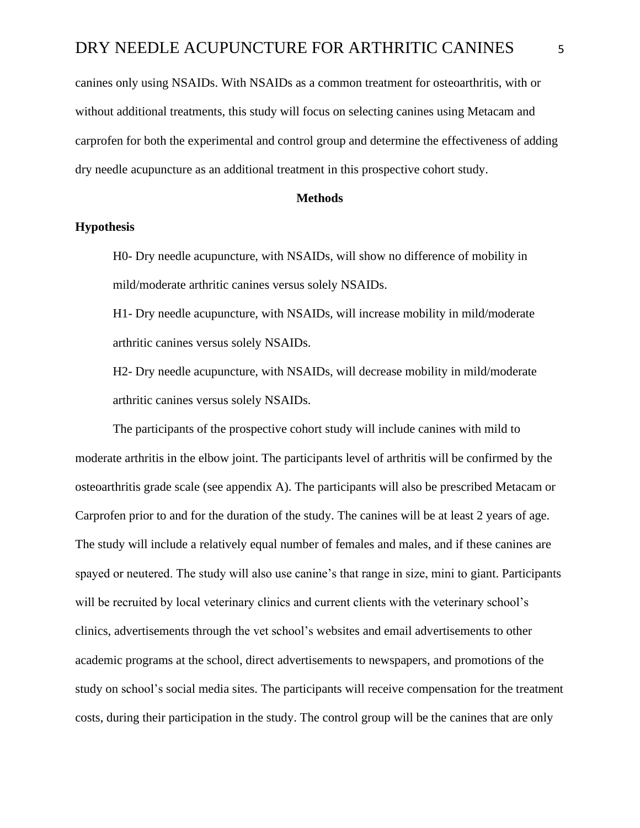canines only using NSAIDs. With NSAIDs as a common treatment for osteoarthritis, with or without additional treatments, this study will focus on selecting canines using Metacam and carprofen for both the experimental and control group and determine the effectiveness of adding dry needle acupuncture as an additional treatment in this prospective cohort study.

#### **Methods**

### **Hypothesis**

H0- Dry needle acupuncture, with NSAIDs, will show no difference of mobility in mild/moderate arthritic canines versus solely NSAIDs.

H1- Dry needle acupuncture, with NSAIDs, will increase mobility in mild/moderate arthritic canines versus solely NSAIDs.

H2- Dry needle acupuncture, with NSAIDs, will decrease mobility in mild/moderate arthritic canines versus solely NSAIDs.

The participants of the prospective cohort study will include canines with mild to moderate arthritis in the elbow joint. The participants level of arthritis will be confirmed by the osteoarthritis grade scale (see appendix A). The participants will also be prescribed Metacam or Carprofen prior to and for the duration of the study. The canines will be at least 2 years of age. The study will include a relatively equal number of females and males, and if these canines are spayed or neutered. The study will also use canine's that range in size, mini to giant. Participants will be recruited by local veterinary clinics and current clients with the veterinary school's clinics, advertisements through the vet school's websites and email advertisements to other academic programs at the school, direct advertisements to newspapers, and promotions of the study on school's social media sites. The participants will receive compensation for the treatment costs, during their participation in the study. The control group will be the canines that are only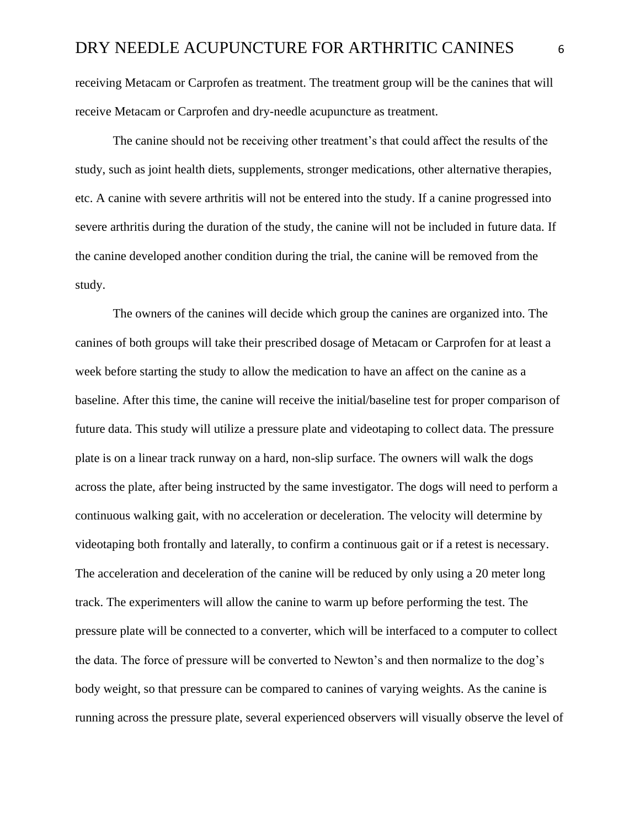receiving Metacam or Carprofen as treatment. The treatment group will be the canines that will receive Metacam or Carprofen and dry-needle acupuncture as treatment.

The canine should not be receiving other treatment's that could affect the results of the study, such as joint health diets, supplements, stronger medications, other alternative therapies, etc. A canine with severe arthritis will not be entered into the study. If a canine progressed into severe arthritis during the duration of the study, the canine will not be included in future data. If the canine developed another condition during the trial, the canine will be removed from the study.

The owners of the canines will decide which group the canines are organized into. The canines of both groups will take their prescribed dosage of Metacam or Carprofen for at least a week before starting the study to allow the medication to have an affect on the canine as a baseline. After this time, the canine will receive the initial/baseline test for proper comparison of future data. This study will utilize a pressure plate and videotaping to collect data. The pressure plate is on a linear track runway on a hard, non-slip surface. The owners will walk the dogs across the plate, after being instructed by the same investigator. The dogs will need to perform a continuous walking gait, with no acceleration or deceleration. The velocity will determine by videotaping both frontally and laterally, to confirm a continuous gait or if a retest is necessary. The acceleration and deceleration of the canine will be reduced by only using a 20 meter long track. The experimenters will allow the canine to warm up before performing the test. The pressure plate will be connected to a converter, which will be interfaced to a computer to collect the data. The force of pressure will be converted to Newton's and then normalize to the dog's body weight, so that pressure can be compared to canines of varying weights. As the canine is running across the pressure plate, several experienced observers will visually observe the level of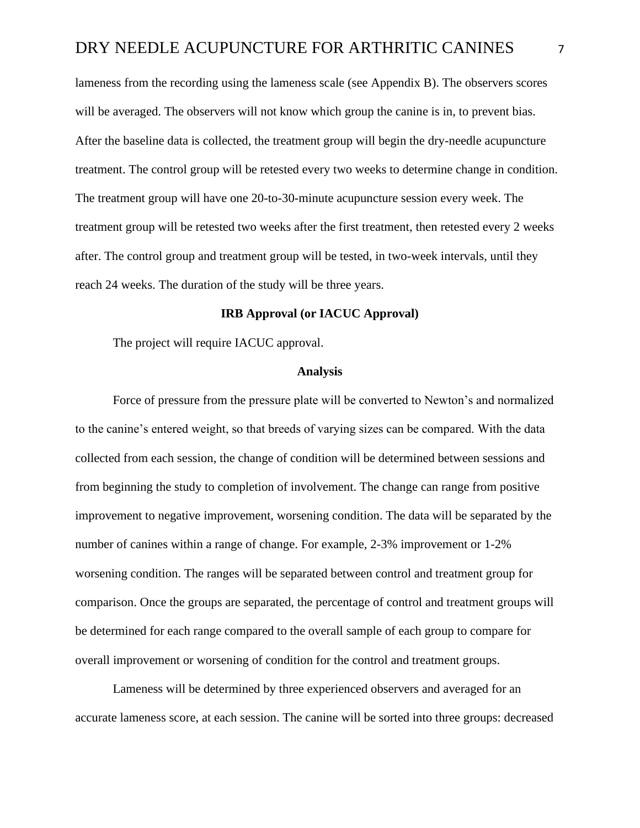lameness from the recording using the lameness scale (see Appendix B). The observers scores will be averaged. The observers will not know which group the canine is in, to prevent bias. After the baseline data is collected, the treatment group will begin the dry-needle acupuncture treatment. The control group will be retested every two weeks to determine change in condition. The treatment group will have one 20-to-30-minute acupuncture session every week. The treatment group will be retested two weeks after the first treatment, then retested every 2 weeks after. The control group and treatment group will be tested, in two-week intervals, until they reach 24 weeks. The duration of the study will be three years.

### **IRB Approval (or IACUC Approval)**

The project will require IACUC approval.

#### **Analysis**

Force of pressure from the pressure plate will be converted to Newton's and normalized to the canine's entered weight, so that breeds of varying sizes can be compared. With the data collected from each session, the change of condition will be determined between sessions and from beginning the study to completion of involvement. The change can range from positive improvement to negative improvement, worsening condition. The data will be separated by the number of canines within a range of change. For example, 2-3% improvement or 1-2% worsening condition. The ranges will be separated between control and treatment group for comparison. Once the groups are separated, the percentage of control and treatment groups will be determined for each range compared to the overall sample of each group to compare for overall improvement or worsening of condition for the control and treatment groups.

Lameness will be determined by three experienced observers and averaged for an accurate lameness score, at each session. The canine will be sorted into three groups: decreased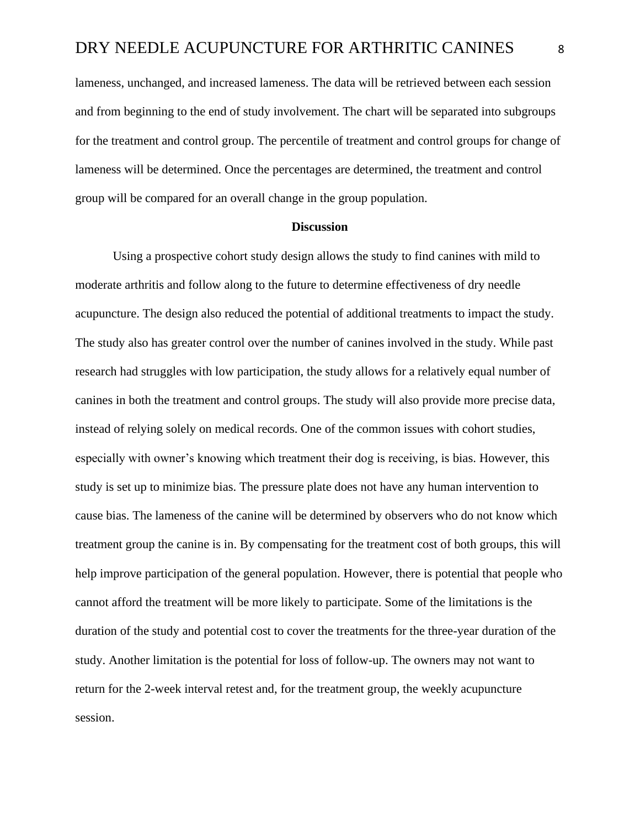lameness, unchanged, and increased lameness. The data will be retrieved between each session and from beginning to the end of study involvement. The chart will be separated into subgroups for the treatment and control group. The percentile of treatment and control groups for change of lameness will be determined. Once the percentages are determined, the treatment and control group will be compared for an overall change in the group population.

#### **Discussion**

Using a prospective cohort study design allows the study to find canines with mild to moderate arthritis and follow along to the future to determine effectiveness of dry needle acupuncture. The design also reduced the potential of additional treatments to impact the study. The study also has greater control over the number of canines involved in the study. While past research had struggles with low participation, the study allows for a relatively equal number of canines in both the treatment and control groups. The study will also provide more precise data, instead of relying solely on medical records. One of the common issues with cohort studies, especially with owner's knowing which treatment their dog is receiving, is bias. However, this study is set up to minimize bias. The pressure plate does not have any human intervention to cause bias. The lameness of the canine will be determined by observers who do not know which treatment group the canine is in. By compensating for the treatment cost of both groups, this will help improve participation of the general population. However, there is potential that people who cannot afford the treatment will be more likely to participate. Some of the limitations is the duration of the study and potential cost to cover the treatments for the three-year duration of the study. Another limitation is the potential for loss of follow-up. The owners may not want to return for the 2-week interval retest and, for the treatment group, the weekly acupuncture session.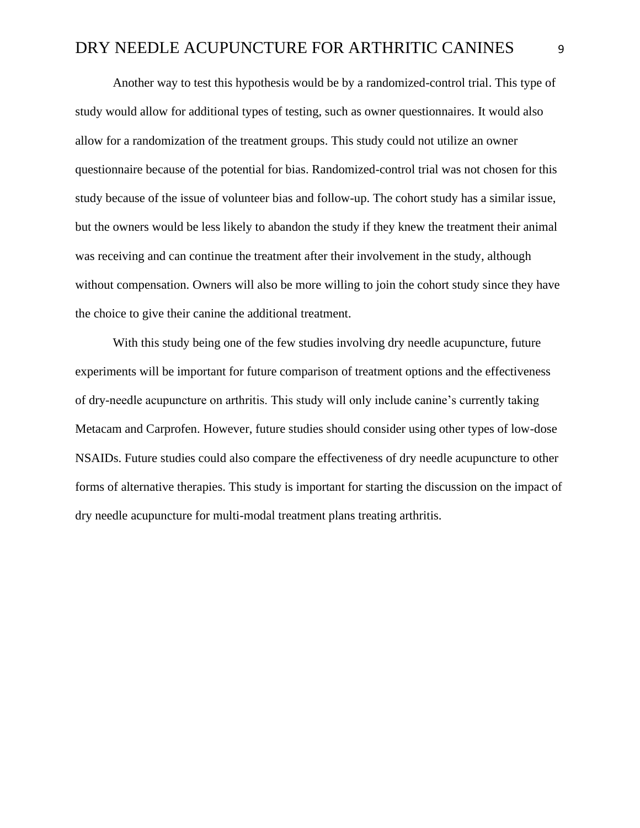Another way to test this hypothesis would be by a randomized-control trial. This type of study would allow for additional types of testing, such as owner questionnaires. It would also allow for a randomization of the treatment groups. This study could not utilize an owner questionnaire because of the potential for bias. Randomized-control trial was not chosen for this study because of the issue of volunteer bias and follow-up. The cohort study has a similar issue, but the owners would be less likely to abandon the study if they knew the treatment their animal was receiving and can continue the treatment after their involvement in the study, although without compensation. Owners will also be more willing to join the cohort study since they have the choice to give their canine the additional treatment.

With this study being one of the few studies involving dry needle acupuncture, future experiments will be important for future comparison of treatment options and the effectiveness of dry-needle acupuncture on arthritis. This study will only include canine's currently taking Metacam and Carprofen. However, future studies should consider using other types of low-dose NSAIDs. Future studies could also compare the effectiveness of dry needle acupuncture to other forms of alternative therapies. This study is important for starting the discussion on the impact of dry needle acupuncture for multi-modal treatment plans treating arthritis.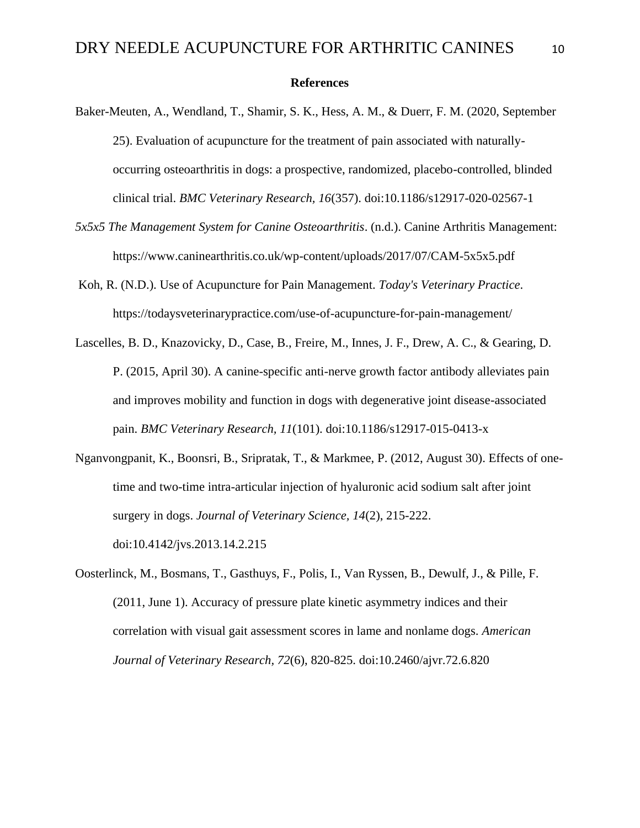#### **References**

- Baker-Meuten, A., Wendland, T., Shamir, S. K., Hess, A. M., & Duerr, F. M. (2020, September 25). Evaluation of acupuncture for the treatment of pain associated with naturallyoccurring osteoarthritis in dogs: a prospective, randomized, placebo-controlled, blinded clinical trial. *BMC Veterinary Research, 16*(357). doi:10.1186/s12917-020-02567-1
- *5x5x5 The Management System for Canine Osteoarthritis*. (n.d.). Canine Arthritis Management: https://www.caninearthritis.co.uk/wp-content/uploads/2017/07/CAM-5x5x5.pdf
- Koh, R. (N.D.). Use of Acupuncture for Pain Management. *Today's Veterinary Practice*. https://todaysveterinarypractice.com/use-of-acupuncture-for-pain-management/
- Lascelles, B. D., Knazovicky, D., Case, B., Freire, M., Innes, J. F., Drew, A. C., & Gearing, D. P. (2015, April 30). A canine-specific anti-nerve growth factor antibody alleviates pain and improves mobility and function in dogs with degenerative joint disease-associated pain. *BMC Veterinary Research, 11*(101). doi:10.1186/s12917-015-0413-x
- Nganvongpanit, K., Boonsri, B., Sripratak, T., & Markmee, P. (2012, August 30). Effects of onetime and two-time intra-articular injection of hyaluronic acid sodium salt after joint surgery in dogs. *Journal of Veterinary Science, 14*(2), 215-222. doi:10.4142/jvs.2013.14.2.215
- Oosterlinck, M., Bosmans, T., Gasthuys, F., Polis, I., Van Ryssen, B., Dewulf, J., & Pille, F. (2011, June 1). Accuracy of pressure plate kinetic asymmetry indices and their correlation with visual gait assessment scores in lame and nonlame dogs. *American Journal of Veterinary Research, 72*(6), 820-825. doi:10.2460/ajvr.72.6.820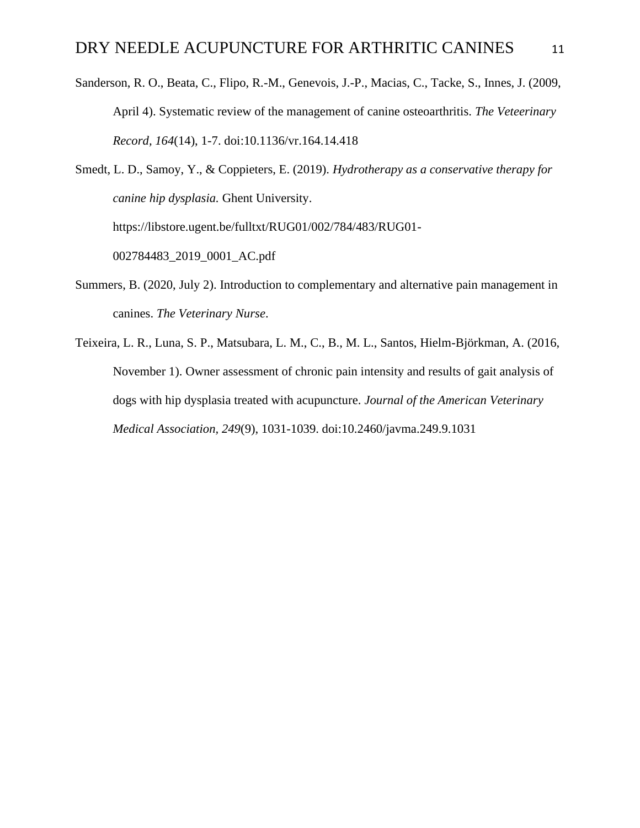- Sanderson, R. O., Beata, C., Flipo, R.-M., Genevois, J.-P., Macias, C., Tacke, S., Innes, J. (2009, April 4). Systematic review of the management of canine osteoarthritis. *The Veteerinary Record, 164*(14), 1-7. doi:10.1136/vr.164.14.418
- Smedt, L. D., Samoy, Y., & Coppieters, E. (2019). *Hydrotherapy as a conservative therapy for canine hip dysplasia.* Ghent University. https://libstore.ugent.be/fulltxt/RUG01/002/784/483/RUG01- 002784483\_2019\_0001\_AC.pdf
- Summers, B. (2020, July 2). Introduction to complementary and alternative pain management in canines. *The Veterinary Nurse*.
- Teixeira, L. R., Luna, S. P., Matsubara, L. M., C., B., M. L., Santos, Hielm-Björkman, A. (2016, November 1). Owner assessment of chronic pain intensity and results of gait analysis of dogs with hip dysplasia treated with acupuncture. *Journal of the American Veterinary Medical Association, 249*(9), 1031-1039. doi:10.2460/javma.249.9.1031